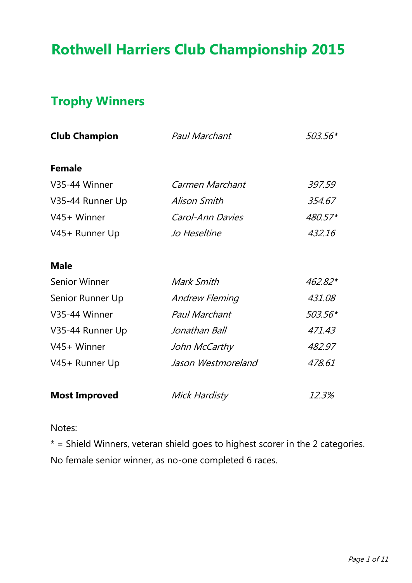# **Rothwell Harriers Club Championship 2015**

## **Trophy Winners**

| <b>Club Champion</b> | Paul Marchant         | 503.56*      |
|----------------------|-----------------------|--------------|
| <b>Female</b>        |                       |              |
| V35-44 Winner        | Carmen Marchant       | 397.59       |
| V35-44 Runner Up     | Alison Smith          | 354.67       |
| V45+ Winner          | Carol-Ann Davies      | 480.57*      |
| V45+ Runner Up       | Jo Heseltine          | 432.16       |
| <b>Male</b>          |                       |              |
| Senior Winner        | Mark Smith            | 462.82*      |
| Senior Runner Up     | <b>Andrew Fleming</b> | 431.08       |
| V35-44 Winner        | Paul Marchant         | 503.56*      |
| V35-44 Runner Up     | Jonathan Ball         | 471.43       |
| V45+ Winner          | John McCarthy         | 482.97       |
| V45+ Runner Up       | Jason Westmoreland    | 478.61       |
| <b>Most Improved</b> | Mick Hardisty         | <i>12.3%</i> |

Notes:

 $*$  = Shield Winners, veteran shield goes to highest scorer in the 2 categories. No female senior winner, as no-one completed 6 races.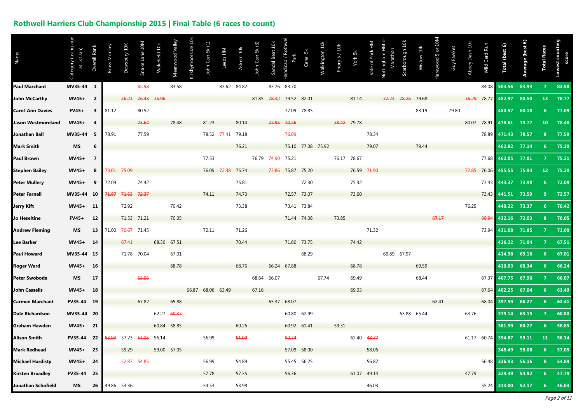### **Rothwell Harriers Club Championship 2015 | Final Table (6 races to count)**

|                         | Category (using age<br>at 1st Jan) | Overall Rank   | Brass Monkey | Dewsbury 10K      | Snake Lane 10M | Wakefield 10k |       | Kirkbymoorside 10k | John Carr 5k (1)  | Leeds HM    | Askern 10k | hn Carr 5k (3) | Sandal Beat 10k  | landicap / Rothwel<br>Park | Canal 5k          | Walkington 10k | Priory 5 / 10k | York 5k                | Vale of York HM | Iottingham HM<br>Marath | Scarborough 10k   | Wistow 10k  | <b>NOT</b><br>ood 5 or | Guy Fawkes | Abbey Dash 10k | Wild Card Run | <b>Total (best 6)</b> | Average (best 6) | <b>Cotal Races</b> | rest counting |
|-------------------------|------------------------------------|----------------|--------------|-------------------|----------------|---------------|-------|--------------------|-------------------|-------------|------------|----------------|------------------|----------------------------|-------------------|----------------|----------------|------------------------|-----------------|-------------------------|-------------------|-------------|------------------------|------------|----------------|---------------|-----------------------|------------------|--------------------|---------------|
| Paul Marchant           | MV35-44 1                          |                |              |                   | 82.98          |               | 83.58 |                    |                   | 83.62 84.82 |            |                | 83.76            | 83.70                      |                   |                |                |                        |                 |                         |                   |             |                        |            |                | 84.08         | 503.56                | 83.93            | $\overline{7}$     | 83.58         |
| <b>John McCarthy</b>    | <b>MV45+</b>                       | $\overline{2}$ |              | 76.21             | 76.43 75.96    |               |       |                    |                   |             |            |                |                  | 81.85 78.32 79.52 82.01    |                   |                |                | 81.14                  |                 |                         | 72.24 78.26 79.68 |             |                        |            | 76.29 78.77    |               | 482.97 80.50          |                  | 13                 | 78.77         |
| <b>Carol-Ann Davies</b> | <b>FV45+</b>                       | 3              | 81.12        |                   | 80.52          |               |       |                    |                   |             |            |                |                  | 77.09                      | 78.85             |                |                |                        |                 |                         |                   | 83.19       |                        | 79.80      |                |               | 480.57                | 80.10            | 6 <sup>1</sup>     | 77.09         |
| Jason Westmoreland      | <b>MV45+</b>                       | 4              |              |                   | 75.64          |               | 78.48 |                    | 81.23             |             | 80.14      |                | 77.95            | 70.76                      |                   |                |                | <del>78.42</del> 79.78 |                 |                         |                   |             |                        |            | 80.07 78.91    |               | 478.61                | 79.77            | 10                 | 78.48         |
| Jonathan Ball           | <b>MV35-44</b>                     | -5             | 78.91        |                   | 77.59          |               |       |                    | 78.52 77.41       |             | 79.18      |                |                  | 76.09                      |                   |                |                |                        | 78.34           |                         |                   |             |                        |            |                | 78.89         | 471.43                | 78.57            | 8                  | 77.59         |
| <b>Mark Smith</b>       | <b>MS</b>                          | 6              |              |                   |                |               |       |                    |                   |             | 76.21      |                |                  |                            | 75.10 77.08 75.92 |                |                |                        | 79.07           |                         |                   | 79.44       |                        |            |                |               | 462.82 77.14          |                  | 6                  | 75.10         |
| Paul Brown              | <b>MV45+</b>                       | $\overline{7}$ |              |                   |                |               |       |                    | 77.53             |             |            | 76.79 74.90    |                  | 75.21                      |                   |                | 76.17 78.67    |                        |                 |                         |                   |             |                        |            |                | 77.68         | 462.05                | 77.01            | $\overline{7}$     | 75.21         |
| <b>Stephen Bailey</b>   | <b>MV45+</b>                       | 8              | 73.01        | 75.09             |                |               |       |                    | 76.09             | 72.38       | 75.74      |                | <del>73.86</del> | 75.87                      | 75.20             |                |                |                        | 76.59 71.90     |                         |                   |             |                        |            | 72.85          | 76.06         | 455.55                | 75.93            | 12 <sub>1</sub>    | 75.20         |
| <b>Peter Mullery</b>    | <b>MV45+</b>                       | 9              | 72.09        |                   | 74.42          |               |       |                    |                   |             | 75.81      |                |                  |                            | 72.30             |                |                | 75.32                  |                 |                         |                   |             |                        |            |                | 73.43         | 443.37                | 73.90            | 6 <sup>1</sup>     | 72.09         |
| <b>Peter Farnell</b>    | MV35-44 10                         |                |              | 71.87 71.63 72.37 |                |               |       |                    | 74.11             |             | 74.73      |                |                  | 72.57 73.07                |                   |                |                | 73.60                  |                 |                         |                   |             |                        |            |                | 73.43         | 441.51                | 73.59            | 9                  | 72.57         |
| Jerry Kift              | <b>MV45+</b>                       | 11             |              | 72.92             |                |               | 70.42 |                    |                   |             | 73.38      |                |                  | 73.41 73.84                |                   |                |                |                        |                 |                         |                   |             |                        |            | 76.25          |               | 440.22                | 73.37            | 6                  | 70.42         |
| Jo Heseltine            | <b>FV45+</b>                       | 12             |              | 71.53 71.21       |                |               | 70.05 |                    |                   |             |            |                |                  | 71.44 74.08                |                   |                | 73.85          |                        |                 |                         |                   |             | 67.17                  |            |                | 68.94         | 432.16                | 72.03            | 8                  | 70.05         |
| <b>Andrew Fleming</b>   | <b>MS</b>                          | 13             | 71.00        | 70.67             | 71.45          |               |       |                    | 72.11             |             | 71.26      |                |                  |                            |                   |                |                |                        | 71.32           |                         |                   |             |                        |            |                | 73.94         | 431.08                | 71.85            | $\overline{7}$     | 71.00         |
| Lee Barker              | <b>MV45+</b>                       | -14            |              | 67.41             |                | 68.30 67.51   |       |                    |                   |             | 70.44      |                |                  | 71.80 73.75                |                   |                |                | 74.42                  |                 |                         |                   |             |                        |            |                |               | 426.22                | 71.04            | 7                  | 67.51         |
| Paul Howard             | <b>MV35-44</b>                     | -15            |              | 71.78 70.04       |                |               | 67.01 |                    |                   |             |            |                |                  |                            | 68.29             |                |                |                        |                 |                         | 69.89 67.97       |             |                        |            |                |               | 414.98                | 69.16            | 6                  | 67.01         |
| <b>Roger Ward</b>       | MV45+                              | - 16           |              |                   |                |               | 68.78 |                    |                   |             | 68.76      |                | 66.24 67.88      |                            |                   |                |                | 68.78                  |                 |                         |                   | 69.59       |                        |            |                |               | 410.03                | 68.34            | 6.                 | 66.24         |
| Peter Swoboda           | <b>MS</b>                          | 17             |              |                   | 63.95          |               |       |                    |                   |             |            | 68.64          | 66.07            |                            |                   | 67.74          |                | 69.49                  |                 |                         |                   | 68.44       |                        |            |                | 67.37         | 407.75                | 67.96            | $\overline{7}$     | 66.07         |
| John Cassells           | <b>MV45+</b>                       | 18             |              |                   |                |               |       |                    | 66.87 68.06 63.49 |             |            | 67.16          |                  |                            |                   |                |                | 69.03                  |                 |                         |                   |             |                        |            |                | 67.64         | 402.25                | 67.04            | 6                  | 63.49         |
| <b>Carmen Marchant</b>  | <b>FV35-44</b>                     | - 19           |              |                   | 67.82          |               | 65.88 |                    |                   |             |            |                | 65.37            | 68.07                      |                   |                |                |                        |                 |                         |                   |             | 62.41                  |            |                | 68.04         | 397.59                | 66.27            | 6                  | 62.41         |
| <b>Dale Richardson</b>  | MV35-44 20                         |                |              |                   |                | 62.27         | 60.37 |                    |                   |             |            |                |                  | 60.80 62.99                |                   |                |                |                        |                 |                         |                   | 63.88 65.44 |                        |            | 63.76          |               | 379.14                | 63.19            | 7                  | 60.80         |
| <b>Graham Hawden</b>    | <b>MV45+</b>                       | 21             |              |                   |                | 60.84 58.85   |       |                    |                   |             | 60.26      |                |                  | 60.92 61.41                |                   |                | 59.31          |                        |                 |                         |                   |             |                        |            |                |               | 361.59                | 60.27            | 6                  | 58.85         |
| Alison Smith            | <b>FV35-44</b>                     | -22            | 53.93        | 57.23             | 54.25          | 56.14         |       |                    | 56.99             |             | 51.99      |                |                  | 52.74                      |                   |                |                |                        | 62.40 48.77     |                         |                   |             |                        |            |                | 61.17 60.74   | 354.67                | 59.11            | 11                 | 56.14         |
| <b>Mark Redhead</b>     | <b>MV45+</b>                       | 23             |              | 59.29             |                | 59.00 57.05   |       |                    |                   |             |            |                |                  | 57.09                      | 58.00             |                |                |                        | 58.06           |                         |                   |             |                        |            |                |               | 348.49                | 58.08            | 6                  | 57.05         |
| <b>Michael Hardisty</b> | <b>MV45+</b>                       | -24            |              | 52.87 54.85       |                |               |       |                    | 56.99             |             | 54.89      |                |                  | 55.45                      | 56.25             |                |                |                        | 56.87           |                         |                   |             |                        |            |                | 56.48         | 336.93                | 56.16            | 8                  | 54.89         |
| Kirsten Broadley        | <b>FV35-44</b>                     | 25             |              |                   |                |               |       |                    | 57.78             |             | 57.35      |                |                  | 56.36                      |                   |                |                |                        | 61.07 49.14     |                         |                   |             |                        |            | 47.79          |               | 329.49                | 54.92            | 6                  | 47.79         |
| Jonathan Schofield      | <b>MS</b>                          | 26             | 49.86 53.36  |                   |                |               |       |                    | 54.53             |             | 53.98      |                |                  |                            |                   |                |                |                        | 46.03           |                         |                   |             |                        |            |                | 55.24         | 313.00                | 52.17            |                    | 46.03         |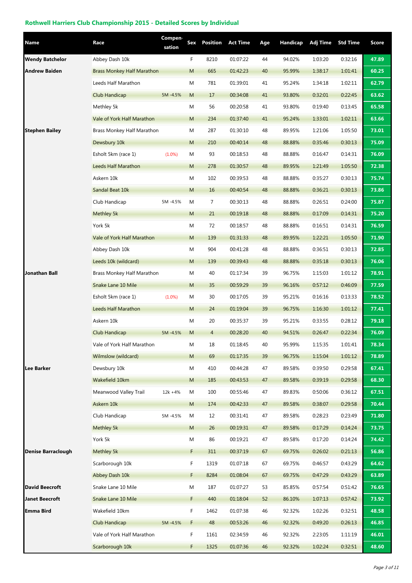| Name                      | Race                              | Compen<br>sation | Sex         | <b>Position</b> | <b>Act Time</b> | Age | Handicap | <b>Adj Time</b> | <b>Std Time</b> | Score |
|---------------------------|-----------------------------------|------------------|-------------|-----------------|-----------------|-----|----------|-----------------|-----------------|-------|
| <b>Wendy Batchelor</b>    | Abbey Dash 10k                    |                  | F           | 8210            | 01:07:22        | 44  | 94.02%   | 1:03:20         | 0:32:16         | 47.89 |
| <b>Andrew Baiden</b>      | <b>Brass Monkey Half Marathon</b> |                  | M           | 665             | 01:42:23        | 40  | 95.99%   | 1:38:17         | 1:01:41         | 60.25 |
|                           | Leeds Half Marathon               |                  | M           | 781             | 01:39:01        | 41  | 95.24%   | 1:34:18         | 1:02:11         | 62.79 |
|                           | Club Handicap                     | 5M-4.5%          | M           | 17              | 00:34:08        | 41  | 93.80%   | 0:32:01         | 0:22:45         | 63.62 |
|                           | Methley 5k                        |                  | M           | 56              | 00:20:58        | 41  | 93.80%   | 0:19:40         | 0:13:45         | 65.58 |
|                           | Vale of York Half Marathon        |                  | M           | 234             | 01:37:40        | 41  | 95.24%   | 1:33:01         | 1:02:11         | 63.66 |
| <b>Stephen Bailey</b>     | Brass Monkey Half Marathon        |                  | M           | 287             | 01:30:10        | 48  | 89.95%   | 1:21:06         | 1:05:50         | 73.01 |
|                           | Dewsbury 10k                      |                  | M           | 210             | 00:40:14        | 48  | 88.88%   | 0:35:46         | 0:30:13         | 75.09 |
|                           | Esholt 5km (race 1)               | $(1.0\%)$        | M           | 93              | 00:18:53        | 48  | 88.88%   | 0:16:47         | 0:14:31         | 76.09 |
|                           | Leeds Half Marathon               |                  | M           | 278             | 01:30:57        | 48  | 89.95%   | 1:21:49         | 1:05:50         | 72.38 |
|                           | Askern 10k                        |                  | M           | 102             | 00:39:53        | 48  | 88.88%   | 0:35:27         | 0:30:13         | 75.74 |
|                           | Sandal Beat 10k                   |                  | M           | 16              | 00:40:54        | 48  | 88.88%   | 0:36:21         | 0:30:13         | 73.86 |
|                           | Club Handicap                     | 5M-4.5%          | M           | $\overline{7}$  | 00:30:13        | 48  | 88.88%   | 0:26:51         | 0:24:00         | 75.87 |
|                           | Methley 5k                        |                  | M           | 21              | 00:19:18        | 48  | 88.88%   | 0:17:09         | 0:14:31         | 75.20 |
|                           | York 5k                           |                  | M           | 72              | 00:18:57        | 48  | 88.88%   | 0:16:51         | 0:14:31         | 76.59 |
|                           | Vale of York Half Marathon        |                  | M           | 139             | 01:31:33        | 48  | 89.95%   | 1:22:21         | 1:05:50         | 71.90 |
|                           | Abbey Dash 10k                    |                  | M           | 904             | 00:41:28        | 48  | 88.88%   | 0:36:51         | 0:30:13         | 72.85 |
|                           | Leeds 10k (wildcard)              |                  | M           | 139             | 00:39:43        | 48  | 88.88%   | 0:35:18         | 0:30:13         | 76.06 |
| Jonathan Ball             | Brass Monkey Half Marathon        |                  | M           | 40              | 01:17:34        | 39  | 96.75%   | 1:15:03         | 1:01:12         | 78.91 |
|                           | Snake Lane 10 Mile                |                  | M           | 35              | 00:59:29        | 39  | 96.16%   | 0:57:12         | 0:46:09         | 77.59 |
|                           | Esholt 5km (race 1)               | (1.0%)           | M           | 30              | 00:17:05        | 39  | 95.21%   | 0:16:16         | 0:13:33         | 78.52 |
|                           | Leeds Half Marathon               |                  | M           | 24              | 01:19:04        | 39  | 96.75%   | 1:16:30         | 1:01:12         | 77.41 |
|                           | Askern 10k                        |                  | M           | 20              | 00:35:37        | 39  | 95.21%   | 0:33:55         | 0:28:12         | 79.18 |
|                           | Club Handicap                     | 5M-4.5%          | M           | $\overline{4}$  | 00:28:20        | 40  | 94.51%   | 0:26:47         | 0:22:34         | 76.09 |
|                           | Vale of York Half Marathon        |                  | M           | 18              | 01:18:45        | 40  | 95.99%   | 1:15:35         | 1:01:41         | 78.34 |
|                           | Wilmslow (wildcard)               |                  | M           | 69              | 01:17:35        | 39  | 96.75%   | 1:15:04         | 1:01:12         | 78.89 |
| Lee Barker                | Dewsbury 10k                      |                  | M           | 410             | 00:44:28        | 47  | 89.58%   | 0:39:50         | 0:29:58         | 67.41 |
|                           | Wakefield 10km                    |                  | ${\sf M}$   | 185             | 00:43:53        | 47  | 89.58%   | 0:39:19         | 0:29:58         | 68.30 |
|                           | Meanwood Valley Trail             | $12k + 4%$       | M           | 100             | 00:55:46        | 47  | 89.83%   | 0:50:06         | 0:36:12         | 67.51 |
|                           | Askern 10k                        |                  | ${\sf M}$   | 174             | 00:42:33        | 47  | 89.58%   | 0:38:07         | 0:29:58         | 70.44 |
|                           | Club Handicap                     | 5M-4.5%          | M           | 12              | 00:31:41        | 47  | 89.58%   | 0:28:23         | 0:23:49         | 71.80 |
|                           | Methley 5k                        |                  | M           | 26              | 00:19:31        | 47  | 89.58%   | 0:17:29         | 0:14:24         | 73.75 |
|                           | York 5k                           |                  | M           | 86              | 00:19:21        | 47  | 89.58%   | 0:17:20         | 0:14:24         | 74.42 |
| <b>Denise Barraclough</b> | Methley 5k                        |                  | $\mathsf F$ | 311             | 00:37:19        | 67  | 69.75%   | 0:26:02         | 0:21:13         | 56.86 |
|                           | Scarborough 10k                   |                  | F           | 1319            | 01:07:18        | 67  | 69.75%   | 0:46:57         | 0:43:29         | 64.62 |
|                           | Abbey Dash 10k                    |                  | F           | 8284            | 01:08:04        | 67  | 69.75%   | 0:47:29         | 0:43:29         | 63.89 |
| <b>David Beecroft</b>     | Snake Lane 10 Mile                |                  | M           | 187             | 01:07:27        | 53  | 85.85%   | 0:57:54         | 0:51:42         | 76.65 |
| Janet Beecroft            | Snake Lane 10 Mile                |                  | F           | 440             | 01:18:04        | 52  | 86.10%   | 1:07:13         | 0:57:42         | 73.92 |
| <b>Emma Bird</b>          | Wakefield 10km                    |                  | F           | 1462            | 01:07:38        | 46  | 92.32%   | 1:02:26         | 0:32:51         | 48.58 |
|                           | Club Handicap                     | 5M-4.5%          | F.          | 48              | 00:53:26        | 46  | 92.32%   | 0:49:20         | 0:26:13         | 46.85 |
|                           | Vale of York Half Marathon        |                  | F           | 1161            | 02:34:59        | 46  | 92.32%   | 2:23:05         | 1:11:19         | 46.01 |
|                           | Scarborough 10k                   |                  | F           | 1325            | 01:07:36        | 46  | 92.32%   | 1:02:24         | 0:32:51         | 48.60 |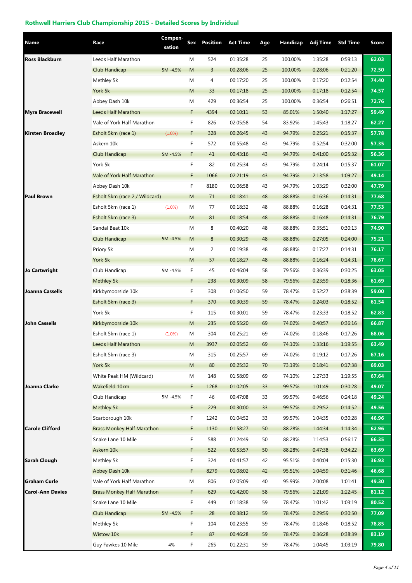| Name                    | Race                              | <b>Compen</b><br>sation | Sex | <b>Position</b> | <b>Act Time</b> | Age | Handicap | Adj Time | <b>Std Time</b> | Score |
|-------------------------|-----------------------------------|-------------------------|-----|-----------------|-----------------|-----|----------|----------|-----------------|-------|
| <b>Ross Blackburn</b>   | Leeds Half Marathon               |                         | M   | 524             | 01:35:28        | 25  | 100.00%  | 1:35:28  | 0:59:13         | 62.03 |
|                         | <b>Club Handicap</b>              | 5M-4.5%                 | M   | 3               | 00:28:06        | 25  | 100.00%  | 0:28:06  | 0:21:20         | 72.50 |
|                         | Methley 5k                        |                         | M   | 4               | 00:17:20        | 25  | 100.00%  | 0:17:20  | 0:12:54         | 74.40 |
|                         | York 5k                           |                         | M   | 33              | 00:17:18        | 25  | 100.00%  | 0:17:18  | 0:12:54         | 74.57 |
|                         | Abbey Dash 10k                    |                         | Μ   | 429             | 00:36:54        | 25  | 100.00%  | 0:36:54  | 0:26:51         | 72.76 |
| <b>Myra Bracewell</b>   | Leeds Half Marathon               |                         | F   | 4394            | 02:10:11        | 53  | 85.01%   | 1:50:40  | 1:17:27         | 59.49 |
|                         | Vale of York Half Marathon        |                         | F   | 826             | 02:05:58        | 54  | 83.92%   | 1:45:43  | 1:18:27         | 62.27 |
| <b>Kirsten Broadley</b> | Esholt 5km (race 1)               | $(1.0\%)$               | F   | 328             | 00:26:45        | 43  | 94.79%   | 0:25:21  | 0:15:37         | 57.78 |
|                         | Askern 10k                        |                         | F   | 572             | 00:55:48        | 43  | 94.79%   | 0:52:54  | 0:32:00         | 57.35 |
|                         | Club Handicap                     | 5M-4.5%                 | F   | 41              | 00:43:16        | 43  | 94.79%   | 0:41:00  | 0:25:32         | 56.36 |
|                         | York 5k                           |                         | F   | 82              | 00:25:34        | 43  | 94.79%   | 0:24:14  | 0:15:37         | 61.07 |
|                         | Vale of York Half Marathon        |                         | F   | 1066            | 02:21:19        | 43  | 94.79%   | 2:13:58  | 1:09:27         | 49.14 |
|                         | Abbey Dash 10k                    |                         | F   | 8180            | 01:06:58        | 43  | 94.79%   | 1:03:29  | 0:32:00         | 47.79 |
| <b>Paul Brown</b>       | Esholt 5km (race 2 / Wildcard)    |                         | M   | 71              | 00:18:41        | 48  | 88.88%   | 0:16:36  | 0:14:31         | 77.68 |
|                         | Esholt 5km (race 1)               | $(1.0\%)$               | M   | 77              | 00:18:32        | 48  | 88.88%   | 0:16:28  | 0:14:31         | 77.53 |
|                         | Esholt 5km (race 3)               |                         | M   | 81              | 00:18:54        | 48  | 88.88%   | 0:16:48  | 0:14:31         | 76.79 |
|                         | Sandal Beat 10k                   |                         | M   | 8               | 00:40:20        | 48  | 88.88%   | 0:35:51  | 0:30:13         | 74.90 |
|                         | <b>Club Handicap</b>              | 5M-4.5%                 | M   | 8               | 00:30:29        | 48  | 88.88%   | 0:27:05  | 0:24:00         | 75.21 |
|                         | Priory 5k                         |                         | Μ   | $\overline{2}$  | 00:19:38        | 48  | 88.88%   | 0:17:27  | 0:14:31         | 76.17 |
|                         | York 5k                           |                         | M   | 57              | 00:18:27        | 48  | 88.88%   | 0:16:24  | 0:14:31         | 78.67 |
| Jo Cartwright           | Club Handicap                     | 5M-4.5%                 | F   | 45              | 00:46:04        | 58  | 79.56%   | 0:36:39  | 0:30:25         | 63.05 |
|                         | Methley 5k                        |                         | F   | 238             | 00:30:09        | 58  | 79.56%   | 0:23:59  | 0:18:36         | 61.69 |
| Joanna Cassells         | Kirkbymoorside 10k                |                         | F   | 308             | 01:06:50        | 59  | 78.47%   | 0:52:27  | 0:38:39         | 59.00 |
|                         | Esholt 5km (race 3)               |                         | F   | 370             | 00:30:39        | 59  | 78.47%   | 0:24:03  | 0:18:52         | 61.54 |
|                         | York 5k                           |                         | F   | 115             | 00:30:01        | 59  | 78.47%   | 0:23:33  | 0:18:52         | 62.83 |
| <b>John Cassells</b>    | Kirkbymoorside 10k                |                         | M   | 235             | 00:55:20        | 69  | 74.02%   | 0:40:57  | 0:36:16         | 66.87 |
|                         | Esholt 5km (race 1)               | $(1.0\%)$               | M   | 304             | 00:25:21        | 69  | 74.02%   | 0:18:46  | 0:17:26         | 68.06 |
|                         | Leeds Half Marathon               |                         | M   | 3937            | 02:05:52        | 69  | 74.10%   | 1:33:16  | 1:19:55         | 63.49 |
|                         | Esholt 5km (race 3)               |                         | Μ   | 315             | 00:25:57        | 69  | 74.02%   | 0:19:12  | 0:17:26         | 67.16 |
|                         | York 5k                           |                         | M   | 80              | 00:25:32        | 70  | 73.19%   | 0:18:41  | 0:17:38         | 69.03 |
|                         | White Peak HM (Wildcard)          |                         | Μ   | 148             | 01:58:09        | 69  | 74.10%   | 1:27:33  | 1:19:55         | 67.64 |
| Joanna Clarke           | Wakefield 10km                    |                         | F.  | 1268            | 01:02:05        | 33  | 99.57%   | 1:01:49  | 0:30:28         | 49.07 |
|                         | Club Handicap                     | 5M-4.5%                 | F   | 46              | 00:47:08        | 33  | 99.57%   | 0:46:56  | 0:24:18         | 49.24 |
|                         | Methley 5k                        |                         | F.  | 229             | 00:30:00        | 33  | 99.57%   | 0:29:52  | 0:14:52         | 49.56 |
|                         | Scarborough 10k                   |                         | F.  | 1242            | 01:04:52        | 33  | 99.57%   | 1:04:35  | 0:30:28         | 46.96 |
| Carole Clifford         | <b>Brass Monkey Half Marathon</b> |                         | F.  | 1130            | 01:58:27        | 50  | 88.28%   | 1:44:34  | 1:14:34         | 62.96 |
|                         | Snake Lane 10 Mile                |                         | F   | 588             | 01:24:49        | 50  | 88.28%   | 1:14:53  | 0:56:17         | 66.35 |
|                         | Askern 10k                        |                         | F.  | 522             | 00:53:57        | 50  | 88.28%   | 0:47:38  | 0:34:22         | 63.69 |
| Sarah Clough            | Methley 5k                        |                         | F   | 324             | 00:41:57        | 42  | 95.51%   | 0:40:04  | 0:15:30         | 36.93 |
|                         | Abbey Dash 10k                    |                         | F   | 8279            | 01:08:02        | 42  | 95.51%   | 1:04:59  | 0:31:46         | 46.68 |
| <b>Graham Curle</b>     | Vale of York Half Marathon        |                         | Μ   | 806             | 02:05:09        | 40  | 95.99%   | 2:00:08  | 1:01:41         | 49.30 |
| Carol-Ann Davies        | <b>Brass Monkey Half Marathon</b> |                         | F.  | 629             | 01:42:00        | 58  | 79.56%   | 1:21:09  | 1:22:45         | 81.12 |
|                         | Snake Lane 10 Mile                |                         | F   | 449             | 01:18:38        | 59  | 78.47%   | 1:01:42  | 1:03:19         | 80.52 |
|                         | <b>Club Handicap</b>              | 5M-4.5%                 | F   | 28              | 00:38:12        | 59  | 78.47%   | 0:29:59  | 0:30:50         | 77.09 |
|                         | Methley 5k                        |                         | F   | 104             | 00:23:55        | 59  | 78.47%   | 0:18:46  | 0:18:52         | 78.85 |
|                         | Wistow 10k                        |                         | F   | 87              | 00:46:28        | 59  | 78.47%   | 0:36:28  | 0:38:39         | 83.19 |
|                         | Guy Fawkes 10 Mile                | 4%                      | F   | 265             | 01:22:31        | 59  | 78.47%   | 1:04:45  | 1:03:19         | 79.80 |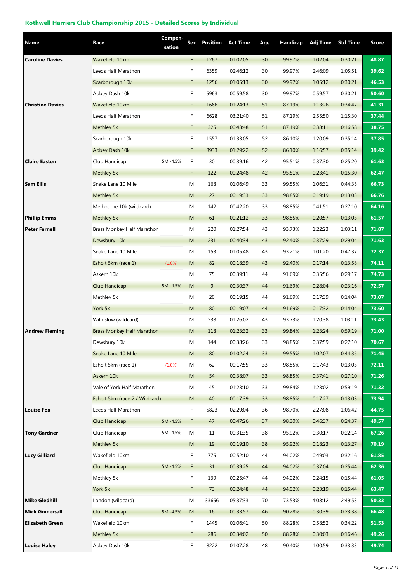| Name                    | Race                              | Compen<br>sation | Sex | <b>Position</b> | <b>Act Time</b> | Age             | Handicap | <b>Adj Time</b> | <b>Std Time</b> | <b>Score</b> |
|-------------------------|-----------------------------------|------------------|-----|-----------------|-----------------|-----------------|----------|-----------------|-----------------|--------------|
| Caroline Davies         | Wakefield 10km                    |                  | F   | 1267            | 01:02:05        | 30              | 99.97%   | 1:02:04         | 0:30:21         | 48.87        |
|                         | Leeds Half Marathon               |                  | F   | 6359            | 02:46:12        | 30              | 99.97%   | 2:46:09         | 1:05:51         | 39.62        |
|                         | Scarborough 10k                   |                  | F.  | 1256            | 01:05:13        | 30 <sup>°</sup> | 99.97%   | 1:05:12         | 0:30:21         | 46.53        |
|                         | Abbey Dash 10k                    |                  | F   | 5963            | 00:59:58        | 30              | 99.97%   | 0:59:57         | 0:30:21         | 50.60        |
| <b>Christine Davies</b> | Wakefield 10km                    |                  | F   | 1666            | 01:24:13        | 51              | 87.19%   | 1:13:26         | 0:34:47         | 41.31        |
|                         | Leeds Half Marathon               |                  | F   | 6628            | 03:21:40        | 51              | 87.19%   | 2:55:50         | 1:15:30         | 37.44        |
|                         | Methley 5k                        |                  | F   | 325             | 00:43:48        | 51              | 87.19%   | 0:38:11         | 0:16:58         | 38.75        |
|                         | Scarborough 10k                   |                  | F   | 1557            | 01:33:05        | 52              | 86.10%   | 1:20:09         | 0:35:14         | 37.85        |
|                         | Abbey Dash 10k                    |                  | F   | 8933            | 01:29:22        | 52              | 86.10%   | 1:16:57         | 0:35:14         | 39.42        |
| <b>Claire Easton</b>    | Club Handicap                     | 5M-4.5%          | F   | 30              | 00:39:16        | 42              | 95.51%   | 0:37:30         | 0:25:20         | 61.63        |
|                         | Methley 5k                        |                  | F   | 122             | 00:24:48        | 42              | 95.51%   | 0:23:41         | 0:15:30         | 62.47        |
| Sam Ellis               | Snake Lane 10 Mile                |                  | M   | 168             | 01:06:49        | 33              | 99.55%   | 1:06:31         | 0:44:35         | 66.73        |
|                         | Methley 5k                        |                  | M   | 27              | 00:19:33        | 33              | 98.85%   | 0:19:19         | 0:13:03         | 66.76        |
|                         | Melbourne 10k (wildcard)          |                  | M   | 142             | 00:42:20        | 33              | 98.85%   | 0:41:51         | 0:27:10         | 64.16        |
| <b>Phillip Emms</b>     | Methley 5k                        |                  | M   | 61              | 00:21:12        | 33              | 98.85%   | 0:20:57         | 0:13:03         | 61.57        |
| <b>Peter Farnell</b>    | Brass Monkey Half Marathon        |                  | M   | 220             | 01:27:54        | 43              | 93.73%   | 1:22:23         | 1:03:11         | 71.87        |
|                         | Dewsbury 10k                      |                  | M   | 231             | 00:40:34        | 43              | 92.40%   | 0:37:29         | 0:29:04         | 71.63        |
|                         | Snake Lane 10 Mile                |                  | M   | 153             | 01:05:48        | 43              | 93.21%   | 1:01:20         | 0:47:37         | 72.37        |
|                         | Esholt 5km (race 1)               | $(1.0\%)$        | M   | 82              | 00:18:39        | 43              | 92.40%   | 0:17:14         | 0:13:58         | 74.11        |
|                         | Askern 10k                        |                  | M   | 75              | 00:39:11        | 44              | 91.69%   | 0:35:56         | 0:29:17         | 74.73        |
|                         | <b>Club Handicap</b>              | 5M-4.5%          | M   | 9               | 00:30:37        | 44              | 91.69%   | 0:28:04         | 0:23:16         | 72.57        |
|                         | Methley 5k                        |                  | M   | 20              | 00:19:15        | 44              | 91.69%   | 0:17:39         | 0:14:04         | 73.07        |
|                         | York 5k                           |                  | M   | 80              | 00:19:07        | 44              | 91.69%   | 0:17:32         | 0:14:04         | 73.60        |
|                         | Wilmslow (wildcard)               |                  | M   | 238             | 01:26:02        | 43              | 93.73%   | 1:20:38         | 1:03:11         | 73.43        |
| <b>Andrew Fleming</b>   | <b>Brass Monkey Half Marathon</b> |                  | M   | 118             | 01:23:32        | 33              | 99.84%   | 1:23:24         | 0:59:19         | 71.00        |
|                         | Dewsbury 10k                      |                  | M   | 144             | 00:38:26        | 33              | 98.85%   | 0:37:59         | 0:27:10         | 70.67        |
|                         | Snake Lane 10 Mile                |                  | M   | 80              | 01:02:24        | 33              | 99.55%   | 1:02:07         | 0:44:35         | 71.45        |
|                         | Esholt 5km (race 1)               | $(1.0\%)$        | M   | 62              | 00:17:55        | 33              | 98.85%   | 0:17:43         | 0:13:03         | 72.11        |
|                         | Askern 10k                        |                  | M   | 54              | 00:38:07        | 33              | 98.85%   | 0:37:41         | 0:27:10         | 71.26        |
|                         | Vale of York Half Marathon        |                  | M   | 45              | 01:23:10        | 33              | 99.84%   | 1:23:02         | 0:59:19         | 71.32        |
|                         | Esholt 5km (race 2 / Wildcard)    |                  | M   | 40              | 00:17:39        | 33              | 98.85%   | 0:17:27         | 0:13:03         | 73.94        |
| <b>Louise Fox</b>       | Leeds Half Marathon               |                  | F   | 5823            | 02:29:04        | 36              | 98.70%   | 2:27:08         | 1:06:42         | 44.75        |
|                         | Club Handicap                     | 5M-4.5%          | F   | 47              | 00:47:26        | 37              | 98.30%   | 0:46:37         | 0:24:37         | 49.57        |
| <b>Tony Gardner</b>     | Club Handicap                     | 5M-4.5%          | M   | 11              | 00:31:35        | 38              | 95.92%   | 0:30:17         | 0:22:14         | 67.26        |
|                         | Methley 5k                        |                  | M   | 19              | 00:19:10        | 38              | 95.92%   | 0:18:23         | 0:13:27         | 70.19        |
| Lucy Gilliard           | Wakefield 10km                    |                  | F   | 775             | 00:52:10        | 44              | 94.02%   | 0:49:03         | 0:32:16         | 61.85        |
|                         | Club Handicap                     | 5M-4.5%          | F   | 31              | 00:39:25        | 44              | 94.02%   | 0:37:04         | 0:25:44         | 62.36        |
|                         | Methley 5k                        |                  | F   | 139             | 00:25:47        | 44              | 94.02%   | 0:24:15         | 0:15:44         | 61.05        |
|                         | York 5k                           |                  | F   | 73              | 00:24:48        | 44              | 94.02%   | 0:23:19         | 0:15:44         | 63.47        |
| <b>Mike Gledhill</b>    | London (wildcard)                 |                  | M   | 33656           | 05:37:33        | 70              | 73.53%   | 4:08:12         | 2:49:53         | 50.33        |
| <b>Mick Gomersall</b>   | <b>Club Handicap</b>              | 5M-4.5%          | M   | 16              | 00:33:57        | 46              | 90.28%   | 0:30:39         | 0:23:38         | 66.48        |
| <b>Elizabeth Green</b>  | Wakefield 10km                    |                  | F   | 1445            | 01:06:41        | 50              | 88.28%   | 0:58:52         | 0:34:22         | 51.53        |
|                         | Methley 5k                        |                  | F   | 286             | 00:34:02        | 50              | 88.28%   | 0:30:03         | 0:16:46         | 49.26        |
| Louise Haley            | Abbey Dash 10k                    |                  | F   | 8222            | 01:07:28        | 48              | 90.40%   | 1:00:59         | 0:33:33         | 49.74        |
|                         |                                   |                  |     |                 |                 |                 |          |                 |                 |              |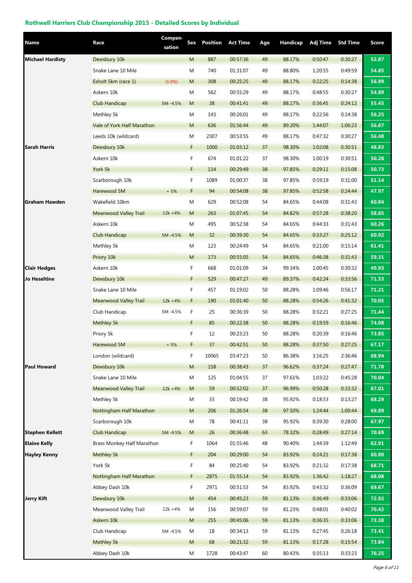| Name                    | Race                         | Compen<br>sation | <b>Sex</b> | <b>Position</b> | <b>Act Time</b> | Age | Handicap | Adj Time | <b>Std Time</b> | Score |
|-------------------------|------------------------------|------------------|------------|-----------------|-----------------|-----|----------|----------|-----------------|-------|
| <b>Michael Hardisty</b> | Dewsbury 10k                 |                  | M          | 887             | 00:57:36        | 49  | 88.17%   | 0:50:47  | 0:30:27         | 52.87 |
|                         | Snake Lane 10 Mile           |                  | M          | 740             | 01:31:07        | 49  | 88.80%   | 1:20:55  | 0:49:59         | 54.85 |
|                         | Esholt 5km (race 1)          | $(1.0\%)$        | M          | 308             | 00:25:25        | 49  | 88.17%   | 0:22:25  | 0:14:38         | 56.99 |
|                         | Askern 10k                   |                  | M          | 562             | 00:55:29        | 49  | 88.17%   | 0:48:55  | 0:30:27         | 54.89 |
|                         | Club Handicap                | 5M-4.5%          | M          | 38              | 00:41:41        | 49  | 88.17%   | 0:36:45  | 0:24:12         | 55.45 |
|                         | Methley 5k                   |                  | M          | 143             | 00:26:01        | 49  | 88.17%   | 0:22:56  | 0:14:38         | 56.25 |
|                         | Vale of York Half Marathon   |                  | M          | 636             | 01:56:44        | 49  | 89.20%   | 1:44:07  | 1:06:23         | 56.87 |
|                         | Leeds 10k (wildcard)         |                  | M          | 2307            | 00:53:55        | 49  | 88.17%   | 0:47:32  | 0:30:27         | 56.48 |
| Sarah Harris            | Dewsbury 10k                 |                  | F          | 1000            | 01:03:12        | 37  | 98.30%   | 1:02:08  | 0:30:51         | 48.83 |
|                         | Askern 10k                   |                  | F          | 674             | 01:01:22        | 37  | 98.30%   | 1:00:19  | 0:30:51         | 50.28 |
|                         | York 5k                      |                  | F          | 114             | 00:29:49        | 38  | 97.85%   | 0:29:11  | 0:15:08         | 50.73 |
|                         | Scarborough 10k              |                  | F          | 1089            | 01:00:37        | 38  | 97.85%   | 0:59:19  | 0:31:00         | 51.14 |
|                         | Harewood 5M                  | $+5%$            | F          | 94              | 00:54:08        | 38  | 97.85%   | 0:52:58  | 0:24:44         | 47.97 |
| <b>Graham Hawden</b>    | Wakefield 10km               |                  | M          | 629             | 00:52:08        | 54  | 84.65%   | 0:44:08  | 0:31:43         | 60.84 |
|                         | <b>Meanwood Valley Trail</b> | $12k + 4%$       | M          | 263             | 01:07:45        | 54  | 84.82%   | 0:57:28  | 0:38:20         | 58.85 |
|                         | Askern 10k                   |                  | M          | 495             | 00:52:38        | 54  | 84.65%   | 0:44:33  | 0:31:43         | 60.26 |
|                         | <b>Club Handicap</b>         | 5M-4.5%          | M          | 32              | 00:39:30        | 54  | 84.65%   | 0:33:27  | 0:25:12         | 60.92 |
|                         | Methley 5k                   |                  | M          | 123             | 00:24:49        | 54  | 84.65%   | 0:21:00  | 0:15:14         | 61.41 |
|                         | Priory 10k                   |                  | M          | 173             | 00:55:05        | 54  | 84.65%   | 0:46:38  | 0:31:43         | 59.31 |
| Clair Hedges            | Askern 10k                   |                  | F          | 668             | 01:01:09        | 34  | 99.34%   | 1:00:45  | 0:30:32         | 49.93 |
| Jo Heseltine            | Dewsbury 10k                 |                  | F.         | 529             | 00:47:27        | 49  | 89.37%   | 0:42:24  | 0:33:56         | 71.53 |
|                         | Snake Lane 10 Mile           |                  | F          | 457             | 01:19:02        | 50  | 88.28%   | 1:09:46  | 0:56:17         | 71.21 |
|                         | <b>Meanwood Valley Trail</b> | $12k + 4%$       | F          | 190             | 01:01:40        | 50  | 88.28%   | 0:54:26  | 0:41:32         | 70.05 |
|                         | Club Handicap                | 5M-4.5%          | F          | 25              | 00:36:39        | 50  | 88.28%   | 0:32:21  | 0:27:25         | 71.44 |
|                         | Methley 5k                   |                  | F          | 85              | 00:22:38        | 50  | 88.28%   | 0:19:59  | 0:16:46         | 74.08 |
|                         | Priory 5k                    |                  | F          | 12              | 00:23:23        | 50  | 88.28%   | 0:20:39  | 0:16:46         | 73.85 |
|                         | Harewood 5M                  | + 5%             | F          | 37              | 00:42:51        | 50  | 88.28%   | 0:37:50  | 0:27:25         | 67.17 |
|                         | London (wildcard)            |                  | F.         | 10065           | 03:47:23        | 50  | 86.38%   | 3:16:25  | 2:36:46         | 68.94 |
| <b>Paul Howard</b>      | Dewsbury 10k                 |                  | M          | 158             | 00:38:43        | 37  | 96.62%   | 0:37:24  | 0:27:47         | 71.78 |
|                         | Snake Lane 10 Mile           |                  | M          | 125             | 01:04:55        | 37  | 97.61%   | 1:03:22  | 0:45:28         | 70.04 |
|                         | <b>Meanwood Valley Trail</b> | $12k + 4%$       | M          | 59              | 00:52:02        | 37  | 96.99%   | 0:50:28  | 0:33:32         | 67.01 |
|                         | Methley 5k                   |                  | M          | 33              | 00:19:42        | 38  | 95.92%   | 0:18:53  | 0:13:27         | 68.29 |
|                         | Nottingham Half Marathon     |                  | M          | 206             | 01:26:54        | 38  | 97.50%   | 1:24:44  | 1:00:44         | 69.89 |
|                         | Scarborough 10k              |                  | M          | 78              | 00:41:11        | 38  | 95.92%   | 0:39:30  | 0:28:00         | 67.97 |
| <b>Stephen Kellett</b>  | Club Handicap                | 5M-4.5%          | M          | 26              | 00:36:48        | 63  | 78.32%   | 0:28:49  | 0:27:14         | 70.69 |
| <b>Elaine Kelly</b>     | Brass Monkey Half Marathon   |                  | F          | 1064            | 01:55:46        | 48  | 90.40%   | 1:44:39  | 1:12:49         | 62.91 |
| <b>Hayley Kenny</b>     | Methley 5k                   |                  | F.         | 204             | 00:29:00        | 54  | 83.92%   | 0:24:21  | 0:17:38         | 60.80 |
|                         | York 5k                      |                  | F          | 84              | 00:25:40        | 54  | 83.92%   | 0:21:32  | 0:17:38         | 68.71 |
|                         | Nottingham Half Marathon     |                  | F          | 2875            | 01:55:14        | 54  | 83.92%   | 1:36:42  | 1:18:27         | 68.08 |
|                         | Abbey Dash 10k               |                  | F          | 2971            | 00:51:53        | 54  | 83.92%   | 0:43:32  | 0:36:09         | 69.67 |
| Jerry Kift              | Dewsbury 10k                 |                  | M          | 454             | 00:45:23        | 59  | 81.13%   | 0:36:49  | 0:33:06         | 72.92 |
|                         | Meanwood Valley Trail        | 12k +4%          | M          | 156             | 00:59:07        | 59  | 81.23%   | 0:48:01  | 0:40:02         | 70.42 |
|                         | Askern 10k                   |                  | M          | 255             | 00:45:06        | 59  | 81.13%   | 0:36:35  | 0:33:06         | 73.38 |
|                         | Club Handicap                | 5M-4.5%          | M          | 18              | 00:34:13        | 59  | 81.13%   | 0:27:45  | 0:26:18         | 73.41 |
|                         | Methley 5k                   |                  | M          | 68              | 00:21:32        | 59  | 81.13%   | 0:17:28  | 0:15:54         | 73.84 |
|                         | Abbey Dash 10k               |                  | M          | 1728            | 00:43:47        | 60  | 80.43%   | 0:35:13  | 0:33:23         | 76.25 |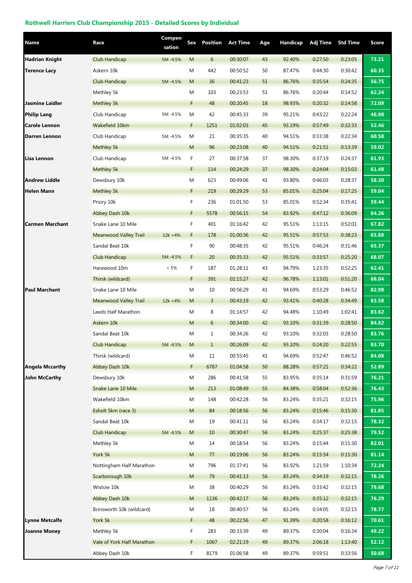| Name                   | Race                         | Compen<br>sation | Sex       | <b>Position</b> | <b>Act Time</b> | Age | Handicap | <b>Adj Time</b> | <b>Std Time</b> | Score |
|------------------------|------------------------------|------------------|-----------|-----------------|-----------------|-----|----------|-----------------|-----------------|-------|
| <b>Hadrian Knight</b>  | Club Handicap                | 5M-4.5%          | M         | 6               | 00:30:07        | 43  | 92.40%   | 0:27:50         | 0:23:05         | 73.21 |
| <b>Terence Lacy</b>    | Askern 10k                   |                  | M         | 442             | 00:50:52        | 50  | 87.47%   | 0:44:30         | 0:30:42         | 60.35 |
|                        | Club Handicap                | 5M-4.5%          | M         | 36              | 00:41:23        | 51  | 86.76%   | 0:35:54         | 0:24:35         | 56.75 |
|                        | Methley 5k                   |                  | M         | 103             | 00:23:53        | 51  | 86.76%   | 0:20:44         | 0:14:52         | 62.24 |
| Jasmine Laidler        | Methley 5k                   |                  | F         | 48              | 00:20:45        | 18  | 98.93%   | 0:20:32         | 0:14:58         | 72.09 |
| <b>Philip Lang</b>     | Club Handicap                | 5M-4.5%          | M         | 42              | 00:45:33        | 39  | 95.21%   | 0:43:22         | 0:22:24         | 46.98 |
| Carole Lennon          | Wakefield 10km               |                  | F.        | 1251            | 01:02:03        | 45  | 93.19%   | 0:57:49         | 0:32:33         | 52.46 |
| Darren Lennon          | Club Handicap                | 5M-4.5%          | M         | 21              | 00:35:35        | 40  | 94.51%   | 0:33:38         | 0:22:34         | 60.58 |
|                        | Methley 5k                   |                  | M         | 96              | 00:23:08        | 40  | 94.51%   | 0:21:51         | 0:13:39         | 59.02 |
| Lisa Lennon            | Club Handicap                | 5M-4.5%          | F         | 27              | 00:37:58        | 37  | 98.30%   | 0:37:19         | 0:24:37         | 61.93 |
|                        | Methley 5k                   |                  | F         | 114             | 00:24:29        | 37  | 98.30%   | 0:24:04         | 0:15:03         | 61.48 |
| <b>Andrew Liddle</b>   | Dewsbury 10k                 |                  | M         | 623             | 00:49:06        | 41  | 93.80%   | 0:46:03         | 0:28:37         | 58.30 |
| <b>Helen Mann</b>      | Methley 5k                   |                  | F.        | 219             | 00:29:29        | 53  | 85.01%   | 0:25:04         | 0:17:25         | 59.04 |
|                        | Priory 10k                   |                  | F         | 236             | 01:01:50        | 53  | 85.01%   | 0:52:34         | 0:35:41         | 59.44 |
|                        | Abbey Dash 10k               |                  | F.        | 5578            | 00:56:15        | 54  | 83.92%   | 0:47:12         | 0:36:09         | 64.26 |
| <b>Carmen Marchant</b> | Snake Lane 10 Mile           |                  | F         | 401             | 01:16:42        | 42  | 95.51%   | 1:13:15         | 0:52:01         | 67.82 |
|                        | <b>Meanwood Valley Trail</b> | $12k + 4%$       | F         | 178             | 01:00:36        | 42  | 95.51%   | 0:57:53         | 0:38:23         | 65.88 |
|                        | Sandal Beat 10k              |                  | F         | 90              | 00:48:35        | 42  | 95.51%   | 0:46:24         | 0:31:46         | 65.37 |
|                        | Club Handicap                | 5M-4.5%          | F         | 20              | 00:35:33        | 42  | 95.51%   | 0:33:57         | 0:25:20         | 68.07 |
|                        | Harewood 10m                 | + 5%             | F         | 187             | 01:28:11        | 43  | 94.79%   | 1:23:35         | 0:52:25         | 62.41 |
|                        | Thirsk (wildcard)            |                  | F.        | 391             | 01:15:27        | 42  | 96.78%   | 1:13:01         | 0:51:20         | 68.04 |
| <b>Paul Marchant</b>   | Snake Lane 10 Mile           |                  | M         | 10              | 00:56:29        | 41  | 94.69%   | 0:53:29         | 0:46:52         | 82.98 |
|                        | <b>Meanwood Valley Trail</b> | $12k + 4%$       | M         | $\mathbf{3}$    | 00:43:19        | 42  | 93.41%   | 0:40:28         | 0:34:49         | 83.58 |
|                        | Leeds Half Marathon          |                  | M         | 8               | 01:14:57        | 42  | 94.48%   | 1:10:49         | 1:02:41         | 83.62 |
|                        | Askern 10k                   |                  | M         | 6               | 00:34:00        | 42  | 93.10%   | 0:31:39         | 0:28:50         | 84.82 |
|                        | Sandal Beat 10k              |                  | M         | $\mathbf{1}$    | 00:34:26        | 42  | 93.10%   | 0:32:03         | 0:28:50         | 83.76 |
|                        | <b>Club Handicap</b>         | 5M-4.5%          | M         | $\mathbf{1}$    | 00:26:09        | 42  | 93.10%   | 0:24:20         | 0:22:55         | 83.70 |
|                        | Thirsk (wildcard)            |                  | M         | 11              | 00:55:45        | 41  | 94.69%   | 0:52:47         | 0:46:52         | 84.08 |
| <b>Angela Mccarthy</b> | Abbey Dash 10k               |                  | F.        | 6787            | 01:04:58        | 50  | 88.28%   | 0:57:21         | 0:34:22         | 52.89 |
| <b>John McCarthy</b>   | Dewsbury 10k                 |                  | M         | 286             | 00:41:58        | 55  | 83.95%   | 0:35:14         | 0:31:59         | 76.21 |
|                        | Snake Lane 10 Mile           |                  | ${\sf M}$ | 213             | 01:08:49        | 55  | 84.38%   | 0:58:04         | 0:52:36         | 76.43 |
|                        | Wakefield 10km               |                  | M         | 148             | 00:42:28        | 56  | 83.24%   | 0:35:21         | 0:32:15         | 75.96 |
|                        | Esholt 5km (race 3)          |                  | ${\sf M}$ | 84              | 00:18:56        | 56  | 83.24%   | 0:15:46         | 0:15:30         | 81.85 |
|                        | Sandal Beat 10k              |                  | M         | 19              | 00:41:11        | 56  | 83.24%   | 0:34:17         | 0:32:15         | 78.32 |
|                        | Club Handicap                | 5M-4.5%          | M         | 10              | 00:30:47        | 56  | 83.24%   | 0:25:37         | 0:25:38         | 79.52 |
|                        | Methley 5k                   |                  | M         | 14              | 00:18:54        | 56  | 83.24%   | 0:15:44         | 0:15:30         | 82.01 |
|                        | York 5k                      |                  | ${\sf M}$ | 77              | 00:19:06        | 56  | 83.24%   | 0:15:54         | 0:15:30         | 81.14 |
|                        | Nottingham Half Marathon     |                  | M         | 796             | 01:37:41        | 56  | 83.92%   | 1:21:59         | 1:10:34         | 72.24 |
|                        | Scarborough 10k              |                  | ${\sf M}$ | 79              | 00:41:13        | 56  | 83.24%   | 0:34:19         | 0:32:15         | 78.26 |
|                        | Wistow 10k                   |                  | M         | 38              | 00:40:29        | 56  | 83.24%   | 0:33:42         | 0:32:15         | 79.68 |
|                        | Abbey Dash 10k               |                  | ${\sf M}$ | 1136            | 00:42:17        | 56  | 83.24%   | 0:35:12         | 0:32:15         | 76.29 |
|                        | Brinsworth 10k (wildcard)    |                  | M         | 18              | 00:40:57        | 56  | 83.24%   | 0:34:05         | 0:32:15         | 78.77 |
| <b>Lynne Metcalfe</b>  | York 5k                      |                  | F         | 48              | 00:22:56        | 47  | 91.39%   | 0:20:58         | 0:16:12         | 70.61 |
| <b>Joanne Money</b>    | Methley 5k                   |                  | F         | 283             | 00:33:39        | 49  | 89.37%   | 0:30:04         | 0:16:34         | 49.22 |
|                        | Vale of York Half Marathon   |                  | F         | 1067            | 02:21:19        | 49  | 89.37%   | 2:06:18         | 1:13:40         | 52.12 |
|                        | Abbey Dash 10k               |                  | F         | 8179            | 01:06:58        | 49  | 89.37%   | 0:59:51         | 0:33:56         | 50.68 |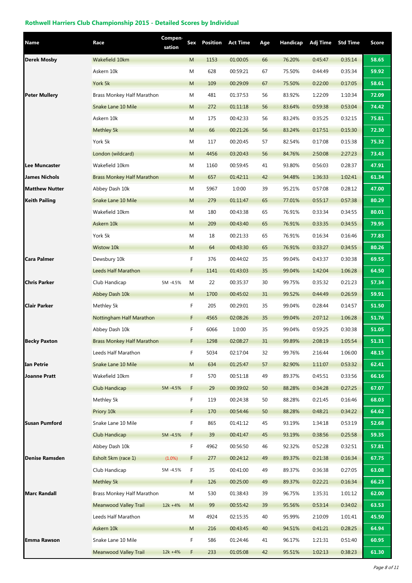| Name                  | Race                              | Compen<br>sation | Sex         | <b>Position</b> | <b>Act Time</b> | Age | Handicap | Adj Time | <b>Std Time</b> | Score |
|-----------------------|-----------------------------------|------------------|-------------|-----------------|-----------------|-----|----------|----------|-----------------|-------|
| Derek Mosby           | Wakefield 10km                    |                  | M           | 1153            | 01:00:05        | 66  | 76.20%   | 0:45:47  | 0:35:14         | 58.65 |
|                       | Askern 10k                        |                  | M           | 628             | 00:59:21        | 67  | 75.50%   | 0:44:49  | 0:35:34         | 59.92 |
|                       | York 5k                           |                  | M           | 109             | 00:29:09        | 67  | 75.50%   | 0:22:00  | 0:17:05         | 58.61 |
| <b>Peter Mullery</b>  | Brass Monkey Half Marathon        |                  | Μ           | 481             | 01:37:53        | 56  | 83.92%   | 1:22:09  | 1:10:34         | 72.09 |
|                       | Snake Lane 10 Mile                |                  | M           | 272             | 01:11:18        | 56  | 83.64%   | 0:59:38  | 0:53:04         | 74.42 |
|                       | Askern 10k                        |                  | M           | 175             | 00:42:33        | 56  | 83.24%   | 0:35:25  | 0:32:15         | 75.81 |
|                       | Methley 5k                        |                  | M           | 66              | 00:21:26        | 56  | 83.24%   | 0:17:51  | 0:15:30         | 72.30 |
|                       | York 5k                           |                  | Μ           | 117             | 00:20:45        | 57  | 82.54%   | 0:17:08  | 0:15:38         | 75.32 |
|                       | London (wildcard)                 |                  | M           | 4456            | 03:20:43        | 56  | 84.76%   | 2:50:08  | 2:27:23         | 73.43 |
| <b>Lee Muncaster</b>  | Wakefield 10km                    |                  | M           | 1160            | 00:59:45        | 41  | 93.80%   | 0:56:03  | 0:28:37         | 47.91 |
| <b>James Nichols</b>  | <b>Brass Monkey Half Marathon</b> |                  | M           | 657             | 01:42:11        | 42  | 94.48%   | 1:36:33  | 1:02:41         | 61.34 |
| <b>Matthew Nutter</b> | Abbey Dash 10k                    |                  | Μ           | 5967            | 1:0:00          | 39  | 95.21%   | 0:57:08  | 0:28:12         | 47.00 |
| <b>Keith Pailing</b>  | Snake Lane 10 Mile                |                  | M           | 279             | 01:11:47        | 65  | 77.01%   | 0:55:17  | 0:57:38         | 80.29 |
|                       | Wakefield 10km                    |                  | M           | 180             | 00:43:38        | 65  | 76.91%   | 0:33:34  | 0:34:55         | 80.01 |
|                       | Askern 10k                        |                  | M           | 209             | 00:43:40        | 65  | 76.91%   | 0:33:35  | 0:34:55         | 79.95 |
|                       | York 5k                           |                  | Μ           | 18              | 00:21:33        | 65  | 76.91%   | 0:16:34  | 0:16:46         | 77.83 |
|                       | <b>Wistow 10k</b>                 |                  | M           | 64              | 00:43:30        | 65  | 76.91%   | 0:33:27  | 0:34:55         | 80.26 |
| Cara Palmer           | Dewsbury 10k                      |                  | F           | 376             | 00:44:02        | 35  | 99.04%   | 0:43:37  | 0:30:38         | 69.55 |
|                       | Leeds Half Marathon               |                  | F           | 1141            | 01:43:03        | 35  | 99.04%   | 1:42:04  | 1:06:28         | 64.50 |
| <b>Chris Parker</b>   | Club Handicap                     | 5M-4.5%          | M           | 22              | 00:35:37        | 30  | 99.75%   | 0:35:32  | 0:21:23         | 57.34 |
|                       | Abbey Dash 10k                    |                  | M           | 1700            | 00:45:02        | 31  | 99.52%   | 0:44:49  | 0:26:59         | 59.91 |
| <b>Clair Parker</b>   | Methley 5k                        |                  | F           | 205             | 00:29:01        | 35  | 99.04%   | 0:28:44  | 0:14:57         | 51.50 |
|                       | Nottingham Half Marathon          |                  | F           | 4565            | 02:08:26        | 35  | 99.04%   | 2:07:12  | 1:06:28         | 51.76 |
|                       | Abbey Dash 10k                    |                  | F           | 6066            | 1:0:00          | 35  | 99.04%   | 0:59:25  | 0:30:38         | 51.05 |
| <b>Becky Paxton</b>   | <b>Brass Monkey Half Marathon</b> |                  | F           | 1298            | 02:08:27        | 31  | 99.89%   | 2:08:19  | 1:05:54         | 51.31 |
|                       | Leeds Half Marathon               |                  | F           | 5034            | 02:17:04        | 32  | 99.76%   | 2:16:44  | 1:06:00         | 48.15 |
| <b>Ian Petrie</b>     | Snake Lane 10 Mile                |                  | M           | 634             | 01:25:47        | 57  | 82.90%   | 1:11:07  | 0:53:32         | 62.41 |
| <b>Joanne Pratt</b>   | Wakefield 10km                    |                  | F           | 570             | 00:51:18        | 49  | 89.37%   | 0:45:51  | 0:33:56         | 66.16 |
|                       | <b>Club Handicap</b>              | 5M-4.5%          | F           | 29              | 00:39:02        | 50  | 88.28%   | 0:34:28  | 0:27:25         | 67.07 |
|                       | Methley 5k                        |                  | F.          | 119             | 00:24:38        | 50  | 88.28%   | 0:21:45  | 0:16:46         | 68.03 |
|                       | Priory 10k                        |                  | F           | 170             | 00:54:46        | 50  | 88.28%   | 0:48:21  | 0:34:22         | 64.62 |
| <b>Susan Pumford</b>  | Snake Lane 10 Mile                |                  | F           | 865             | 01:41:12        | 45  | 93.19%   | 1:34:18  | 0:53:19         | 52.68 |
|                       | Club Handicap                     | 5M-4.5%          | F           | 39              | 00:41:47        | 45  | 93.19%   | 0:38:56  | 0:25:58         | 59.35 |
|                       | Abbey Dash 10k                    |                  | F           | 4962            | 00:56:50        | 46  | 92.32%   | 0:52:28  | 0:32:51         | 57.81 |
| <b>Denise Ramsden</b> | Esholt 5km (race 1)               | $(1.0\%)$        | F           | 277             | 00:24:12        | 49  | 89.37%   | 0:21:38  | 0:16:34         | 67.75 |
|                       | Club Handicap                     | 5M-4.5%          | F           | 35              | 00:41:00        | 49  | 89.37%   | 0:36:38  | 0:27:05         | 63.08 |
|                       | Methley 5k                        |                  | $\mathsf F$ | 126             | 00:25:00        | 49  | 89.37%   | 0:22:21  | 0:16:34         | 66.23 |
| <b>Marc Randall</b>   | Brass Monkey Half Marathon        |                  | M           | 530             | 01:38:43        | 39  | 96.75%   | 1:35:31  | 1:01:12         | 62.00 |
|                       | <b>Meanwood Valley Trail</b>      | $12k + 4%$       | M           | 99              | 00:55:42        | 39  | 95.56%   | 0:53:14  | 0:34:02         | 63.53 |
|                       | Leeds Half Marathon               |                  | Μ           | 4924            | 02:15:35        | 40  | 95.99%   | 2:10:09  | 1:01:41         | 45.50 |
|                       | Askern 10k                        |                  | M           | 216             | 00:43:45        | 40  | 94.51%   | 0.41:21  | 0:28:25         | 64.94 |
| <b>Emma Rawson</b>    | Snake Lane 10 Mile                |                  | F           | 586             | 01:24:46        | 41  | 96.17%   | 1:21:31  | 0:51:40         | 60.95 |
|                       | <b>Meanwood Valley Trail</b>      | $12k + 4%$       | F           | 233             | 01:05:08        | 42  | 95.51%   | 1:02:13  | 0:38:23         | 61.30 |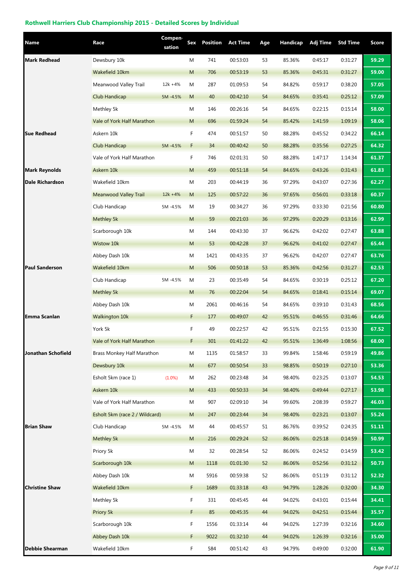| Name                   | Race                           | Compen<br>sation | Sex         | <b>Position</b> | <b>Act Time</b> | Age | Handicap | <b>Adj Time</b> | <b>Std Time</b> | <b>Score</b> |
|------------------------|--------------------------------|------------------|-------------|-----------------|-----------------|-----|----------|-----------------|-----------------|--------------|
| <b>Mark Redhead</b>    | Dewsbury 10k                   |                  | M           | 741             | 00:53:03        | 53  | 85.36%   | 0:45:17         | 0:31:27         | 59.29        |
|                        | Wakefield 10km                 |                  | M           | 706             | 00:53:19        | 53  | 85.36%   | 0:45:31         | 0:31:27         | 59.00        |
|                        | Meanwood Valley Trail          | 12k +4%          | M           | 287             | 01:09:53        | 54  | 84.82%   | 0:59:17         | 0:38:20         | 57.05        |
|                        | Club Handicap                  | 5M-4.5%          | M           | 40              | 00:42:10        | 54  | 84.65%   | 0:35:41         | 0:25:12         | 57.09        |
|                        | Methley 5k                     |                  | M           | 146             | 00:26:16        | 54  | 84.65%   | 0:22:15         | 0:15:14         | 58.00        |
|                        | Vale of York Half Marathon     |                  | M           | 696             | 01:59:24        | 54  | 85.42%   | 1:41:59         | 1:09:19         | 58.06        |
| <b>Sue Redhead</b>     | Askern 10k                     |                  | F           | 474             | 00:51:57        | 50  | 88.28%   | 0:45:52         | 0:34:22         | 66.14        |
|                        | Club Handicap                  | 5M-4.5%          | F           | 34              | 00:40:42        | 50  | 88.28%   | 0:35:56         | 0:27:25         | 64.32        |
|                        | Vale of York Half Marathon     |                  | F           | 746             | 02:01:31        | 50  | 88.28%   | 1:47:17         | 1:14:34         | 61.37        |
| <b>Mark Reynolds</b>   | Askern 10k                     |                  | ${\sf M}$   | 459             | 00:51:18        | 54  | 84.65%   | 0:43:26         | 0:31:43         | 61.83        |
| <b>Dale Richardson</b> | Wakefield 10km                 |                  | M           | 203             | 00:44:19        | 36  | 97.29%   | 0:43:07         | 0:27:36         | 62.27        |
|                        | <b>Meanwood Valley Trail</b>   | $12k + 4%$       | ${\sf M}$   | 125             | 00:57:22        | 36  | 97.65%   | 0:56:01         | 0:33:18         | 60.37        |
|                        | Club Handicap                  | 5M-4.5%          | M           | 19              | 00:34:27        | 36  | 97.29%   | 0:33:30         | 0:21:56         | 60.80        |
|                        | Methley 5k                     |                  | M           | 59              | 00:21:03        | 36  | 97.29%   | 0:20:29         | 0:13:16         | 62.99        |
|                        | Scarborough 10k                |                  | M           | 144             | 00:43:30        | 37  | 96.62%   | 0:42:02         | 0:27:47         | 63.88        |
|                        | Wistow 10k                     |                  | ${\sf M}$   | 53              | 00:42:28        | 37  | 96.62%   | 0:41:02         | 0:27:47         | 65.44        |
|                        | Abbey Dash 10k                 |                  | M           | 1421            | 00:43:35        | 37  | 96.62%   | 0:42:07         | 0:27:47         | 63.76        |
| <b>Paul Sanderson</b>  | Wakefield 10km                 |                  | M           | 506             | 00:50:18        | 53  | 85.36%   | 0:42:56         | 0:31:27         | 62.53        |
|                        | Club Handicap                  | 5M-4.5%          | M           | 23              | 00:35:49        | 54  | 84.65%   | 0:30:19         | 0:25:12         | 67.20        |
|                        | Methley 5k                     |                  | M           | 76              | 00:22:04        | 54  | 84.65%   | 0:18:41         | 0:15:14         | 69.07        |
|                        | Abbey Dash 10k                 |                  | M           | 2061            | 00:46:16        | 54  | 84.65%   | 0:39:10         | 0:31:43         | 68.56        |
| Emma Scanlan           | <b>Walkington 10k</b>          |                  | F.          | 177             | 00:49:07        | 42  | 95.51%   | 0:46:55         | 0:31:46         | 64.66        |
|                        | York 5k                        |                  | F           | 49              | 00:22:57        | 42  | 95.51%   | 0:21:55         | 0:15:30         | 67.52        |
|                        | Vale of York Half Marathon     |                  | F           | 301             | 01:41:22        | 42  | 95.51%   | 1:36:49         | 1:08:56         | 68.00        |
| Jonathan Schofield     | Brass Monkey Half Marathon     |                  | M           | 1135            | 01:58:57        | 33  | 99.84%   | 1:58:46         | 0:59:19         | 49.86        |
|                        | Dewsbury 10k                   |                  | ${\sf M}$   | 677             | 00:50:54        | 33  | 98.85%   | 0:50:19         | 0:27:10         | 53.36        |
|                        | Esholt 5km (race 1)            | $(1.0\%)$        | M           | 262             | 00:23:48        | 34  | 98.40%   | 0:23:25         | 0:13:07         | 54.53        |
|                        | Askern 10k                     |                  | ${\sf M}$   | 433             | 00:50:33        | 34  | 98.40%   | 0:49:44         | 0:27:17         | 53.98        |
|                        | Vale of York Half Marathon     |                  | M           | 907             | 02:09:10        | 34  | 99.60%   | 2:08:39         | 0:59:27         | 46.03        |
|                        | Esholt 5km (race 2 / Wildcard) |                  | ${\sf M}$   | 247             | 00:23:44        | 34  | 98.40%   | 0:23:21         | 0:13:07         | 55.24        |
| <b>Brian Shaw</b>      | Club Handicap                  | 5M-4.5%          | M           | 44              | 00:45:57        | 51  | 86.76%   | 0:39:52         | 0:24:35         | 51.11        |
|                        | Methley 5k                     |                  | ${\sf M}$   | 216             | 00:29:24        | 52  | 86.06%   | 0:25:18         | 0:14:59         | 50.99        |
|                        | Priory 5k                      |                  | M           | 32              | 00:28:54        | 52  | 86.06%   | 0:24:52         | 0:14:59         | 53.42        |
|                        | Scarborough 10k                |                  | ${\sf M}$   | 1118            | 01:01:30        | 52  | 86.06%   | 0:52:56         | 0:31:12         | 50.73        |
|                        | Abbey Dash 10k                 |                  | M           | 5916            | 00:59:38        | 52  | 86.06%   | 0:51:19         | 0:31:12         | 52.32        |
| <b>Christine Shaw</b>  | Wakefield 10km                 |                  | F           | 1689            | 01:33:18        | 43  | 94.79%   | 1:28:26         | 0:32:00         | 34.30        |
|                        | Methley 5k                     |                  | F           | 331             | 00:45:45        | 44  | 94.02%   | 0:43:01         | 0:15:44         | 34.41        |
|                        | Priory 5k                      |                  | F           | 85              | 00:45:35        | 44  | 94.02%   | 0:42:51         | 0:15:44         | 35.57        |
|                        | Scarborough 10k                |                  | F           | 1556            | 01:33:14        | 44  | 94.02%   | 1:27:39         | 0:32:16         | 34.60        |
|                        | Abbey Dash 10k                 |                  | $\mathsf F$ | 9022            | 01:32:10        | 44  | 94.02%   | 1:26:39         | 0:32:16         | 35.00        |
| <b>Debbie Shearman</b> | Wakefield 10km                 |                  | F           | 584             | 00:51:42        | 43  | 94.79%   | 0:49:00         | 0:32:00         | 61.90        |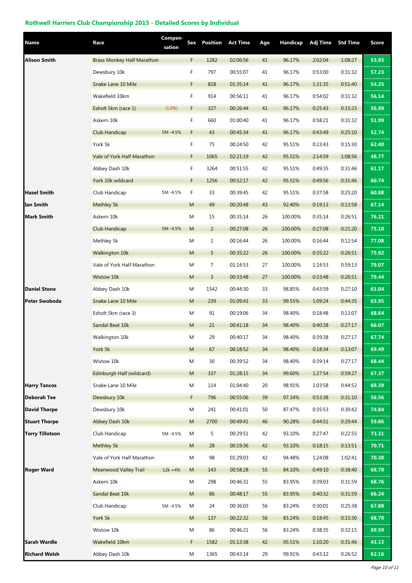| Name                   | Race                              | Compen<br>sation | Sex       | <b>Position</b> | <b>Act Time</b> | Age | Handicap | Adj Time | <b>Std Time</b> | Score |
|------------------------|-----------------------------------|------------------|-----------|-----------------|-----------------|-----|----------|----------|-----------------|-------|
| <b>Alison Smith</b>    | <b>Brass Monkey Half Marathon</b> |                  | F.        | 1282            | 02:06:56        | 41  | 96.17%   | 2:02:04  | 1:08:27         | 53.93 |
|                        | Dewsbury 10k                      |                  | F         | 797             | 00:55:07        | 41  | 96.17%   | 0:53:00  | 0:31:32         | 57.23 |
|                        | Snake Lane 10 Mile                |                  | F         | 818             | 01:35:14        | 41  | 96.17%   | 1:31:35  | 0:51:40         | 54.25 |
|                        | Wakefield 10km                    |                  | F         | 914             | 00:56:11        | 41  | 96.17%   | 0:54:02  | 0:31:32         | 56.14 |
|                        | Esholt 5km (race 1)               | $(1.0\%)$        | F         | 327             | 00:26:44        | 41  | 96.17%   | 0:25:43  | 0:15:23         | 56.99 |
|                        | Askern 10k                        |                  | F         | 660             | 01:00:40        | 41  | 96.17%   | 0:58:21  | 0:31:32         | 51.99 |
|                        | <b>Club Handicap</b>              | 5M-4.5%          | F         | 43              | 00:45:34        | 41  | 96.17%   | 0:43:49  | 0:25:10         | 52.74 |
|                        | York 5k                           |                  | F         | 75              | 00:24:50        | 42  | 95.51%   | 0:23:43  | 0:15:30         | 62.40 |
|                        | Vale of York Half Marathon        |                  | F         | 1065            | 02:21:19        | 42  | 95.51%   | 2:14:59  | 1:08:56         | 48.77 |
|                        | Abbey Dash 10k                    |                  | F         | 3264            | 00:51:55        | 42  | 95.51%   | 0:49:35  | 0:31:46         | 61.17 |
|                        | York 10k wildcard                 |                  | F         | 1256            | 00:52:17        | 42  | 95.51%   | 0:49:56  | 0:31:46         | 60.74 |
| <b>Hazel Smith</b>     | Club Handicap                     | 5M-4.5%          | F         | 33              | 00:39:45        | 42  | 95.51%   | 0:37:58  | 0:25:20         | 60.88 |
| Ian Smith              | Methley 5k                        |                  | M         | 49              | 00:20:48        | 43  | 92.40%   | 0:19:13  | 0:13:58         | 67.14 |
| <b>Mark Smith</b>      | Askern 10k                        |                  | M         | 15              | 00:35:14        | 26  | 100.00%  | 0:35:14  | 0:26:51         | 76.21 |
|                        | Club Handicap                     | 5M-4.5%          | M         | $\overline{2}$  | 00:27:08        | 26  | 100.00%  | 0:27:08  | 0:21:20         | 75.10 |
|                        | Methley 5k                        |                  | M         | $\mathbf{1}$    | 00:16:44        | 26  | 100.00%  | 0:16:44  | 0:12:54         | 77.08 |
|                        | Walkington 10k                    |                  | M         | 5               | 00:35:22        | 26  | 100.00%  | 0:35:22  | 0:26:51         | 75.92 |
|                        | Vale of York Half Marathon        |                  | M         | $\overline{7}$  | 01:14:53        | 27  | 100.00%  | 1:14:53  | 0:59:13         | 79.07 |
|                        | Wistow 10k                        |                  | ${\sf M}$ | 3               | 00:33:48        | 27  | 100.00%  | 0:33:48  | 0:26:51         | 79.44 |
| <b>Daniel Stone</b>    | Abbey Dash 10k                    |                  | M         | 1542            | 00:44:30        | 33  | 98.85%   | 0:43:59  | 0:27:10         | 61.04 |
| Peter Swoboda          | Snake Lane 10 Mile                |                  | ${\sf M}$ | 239             | 01:09:43        | 33  | 99.55%   | 1:09:24  | 0:44:35         | 63.95 |
|                        | Esholt 5km (race 3)               |                  | M         | 91              | 00:19:06        | 34  | 98.40%   | 0:18:48  | 0:13:07         | 68.64 |
|                        | Sandal Beat 10k                   |                  | ${\sf M}$ | 21              | 00:41:18        | 34  | 98.40%   | 0:40:38  | 0:27:17         | 66.07 |
|                        | Walkington 10k                    |                  | M         | 29              | 00:40:17        | 34  | 98.40%   | 0:39:38  | 0:27:17         | 67.74 |
|                        | York 5k                           |                  | ${\sf M}$ | 67              | 00:18:52        | 34  | 98.40%   | 0:18:34  | 0:13:07         | 69.49 |
|                        | Wistow 10k                        |                  | M         | 30              | 00:39:52        | 34  | 98.40%   | 0:39:14  | 0:27:17         | 68.44 |
|                        | Edinburgh Half (wildcard)         |                  | ${\sf M}$ | 337             | 01:28:15        | 34  | 99.60%   | 1:27:54  | 0:59:27         | 67.37 |
| <b>Harry Tancos</b>    | Snake Lane 10 Mile                |                  | M         | 114             | 01:04:40        | 20  | 98.91%   | 1:03:58  | 0:44:52         | 69.39 |
| Deborah Tee            | Dewsbury 10k                      |                  | F         | 796             | 00:55:06        | 39  | 97.34%   | 0:53:38  | 0:31:10         | 56.56 |
| <b>David Thorpe</b>    | Dewsbury 10k                      |                  | M         | 241             | 00:41:01        | 50  | 87.47%   | 0:35:53  | 0:30:42         | 74.84 |
| <b>Stuart Thorpe</b>   | Abbey Dash 10k                    |                  | ${\sf M}$ | 2700            | 00:49:41        | 46  | 90.28%   | 0:44:51  | 0:29:44         | 59.86 |
| <b>Terry Tillotson</b> | Club Handicap                     | 5M-4.5%          | M         | 5               | 00:29:51        | 42  | 93.10%   | 0:27:47  | 0:22:55         | 73.31 |
|                        | Methley 5k                        |                  | ${\sf M}$ | 28              | 00:19:36        | 42  | 93.10%   | 0:18:15  | 0:13:51         | 70.71 |
|                        | Vale of York Half Marathon        |                  | M         | 98              | 01:29:03        | 42  | 94.48%   | 1:24:08  | 1:02:41         | 70.38 |
| <b>Roger Ward</b>      | <b>Meanwood Valley Trail</b>      | $12k + 4%$       | ${\sf M}$ | 143             | 00:58:28        | 55  | 84.10%   | 0:49:10  | 0:38:40         | 68.78 |
|                        | Askern 10k                        |                  | M         | 298             | 00:46:31        | 55  | 83.95%   | 0:39:03  | 0:31:59         | 68.76 |
|                        | Sandal Beat 10k                   |                  | ${\sf M}$ | 86              | 00:48:17        | 55  | 83.95%   | 0:40:32  | 0:31:59         | 66.24 |
|                        | Club Handicap                     | 5M-4.5%          | M         | 24              | 00:36:03        | 56  | 83.24%   | 0:30:01  | 0:25:38         | 67.88 |
|                        | York 5k                           |                  | ${\sf M}$ | 137             | 00:22:32        | 56  | 83.24%   | 0:18:45  | 0:15:30         | 68.78 |
|                        | Wistow 10k                        |                  | M         | 86              | 00:46:21        | 56  | 83.24%   | 0:38:35  | 0:32:15         | 69.59 |
| Sarah Wardle           | Wakefield 10km                    |                  | F         | 1582            | 01:13:38        | 42  | 95.51%   | 1:10:20  | 0:31:46         | 43.13 |
| <b>Richard Welsh</b>   | Abbey Dash 10k                    |                  | M         | 1365            | 00:43:14        | 29  | 99.91%   | 0:43:12  | 0:26:52         | 62.16 |